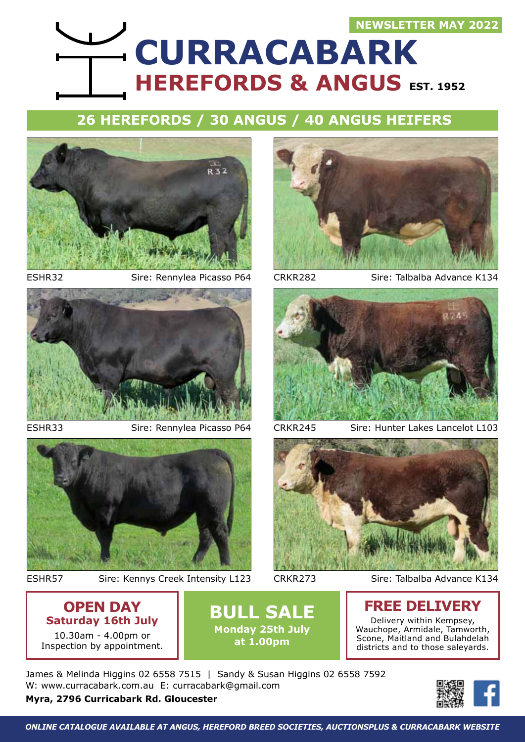### **NEWSLETTER MAY 2022**

# **HEREFORDS & ANGUS EST. 1952 CURRACABARK**

### **26 Herefords / 30 Angus / 40 Angus Heifers**





ESHR33 Sire: Rennylea Picasso P64 CRKR245



ESHR57

Sire: Kennys Creek Intensity L123 CRKR273 Sire: Talbalba Advance K134



ESHR32 Sire: Rennylea Picasso P64 CRKR282 Sire: Talbalba Advance K134



Sire: Hunter Lakes Lancelot L103



CRKR273

### **OPEN DAY Saturday 16th July** 10.30am - 4.00pm or

Inspection by appointment.

**BULL SALE Monday 25th July at 1.00pm**

### **FREE DELIVERY**

Delivery within Kempsey, Wauchope, Armidale, Tamworth, Scone, Maitland and Bulahdelah districts and to those saleyards.

James & Melinda Higgins 02 6558 7515 | Sandy & Susan Higgins 02 6558 7592 W: www.curracabark.com.au E: curracabark@gmail.com

**Myra, 2796 Curricabark Rd. Gloucester** 

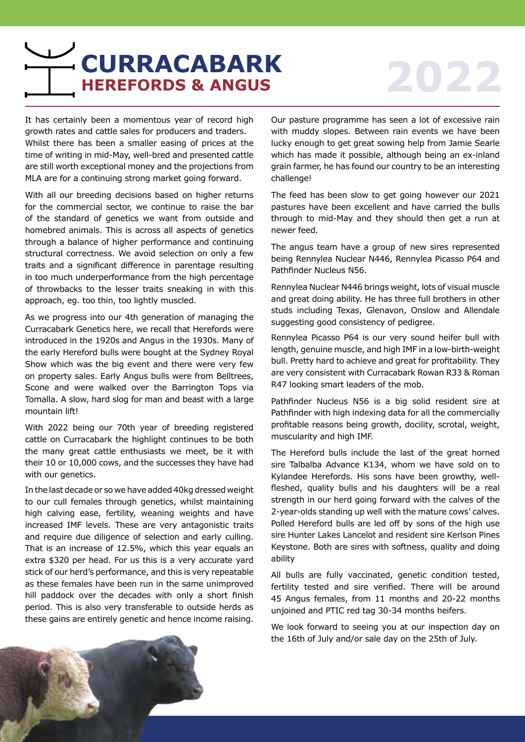## **HEREFORDS & ANGUS 2022 CURRACABARK**

It has certainly been a momentous year of record high growth rates and cattle sales for producers and traders. Whilst there has been a smaller easing of prices at the time of writing in mid-May, well-bred and presented cattle are still worth exceptional money and the projections from MLA are for a continuing strong market going forward.

With all our breeding decisions based on higher returns for the commercial sector, we continue to raise the bar of the standard of genetics we want from outside and homebred animals. This is across all aspects of genetics through a balance of higher performance and continuing structural correctness. We avoid selection on only a few traits and a significant difference in parentage resulting in too much underperformance from the high percentage of throwbacks to the lesser traits sneaking in with this approach, eg. too thin, too lightly muscled.

As we progress into our 4th generation of managing the Curracabark Genetics here, we recall that Herefords were introduced in the 1920s and Angus in the 1930s. Many of the early Hereford bulls were bought at the Sydney Royal Show which was the big event and there were very few on property sales. Early Angus bulls were from Belltrees, Scone and were walked over the Barrington Tops via Tomalla. A slow, hard slog for man and beast with a large mountain lift!

With 2022 being our 70th year of breeding registered cattle on Curracabark the highlight continues to be both the many great cattle enthusiasts we meet, be it with their 10 or 10,000 cows, and the successes they have had with our genetics.

In the last decade or so we have added 40kg dressed weight to our cull females through genetics, whilst maintaining high calving ease, fertility, weaning weights and have increased IMF levels. These are very antagonistic traits and require due diligence of selection and early culling. That is an increase of 12.5%, which this year equals an extra \$320 per head. For us this is a very accurate yard stick of our herd's performance, and this is very repeatable as these females have been run in the same unimproved hill paddock over the decades with only a short finish period. This is also very transferable to outside herds as these gains are entirely genetic and hence income raising.

Our pasture programme has seen a lot of excessive rain with muddy slopes. Between rain events we have been lucky enough to get great sowing help from Jamie Searle which has made it possible, although being an ex-inland grain farmer, he has found our country to be an interesting challenge!

The feed has been slow to get going however our 2021 pastures have been excellent and have carried the bulls through to mid-May and they should then get a run at newer feed.

The angus team have a group of new sires represented being Rennylea Nuclear N446, Rennylea Picasso P64 and Pathfinder Nucleus N56.

Rennylea Nuclear N446 brings weight, lots of visual muscle and great doing ability. He has three full brothers in other studs including Texas, Glenavon, Onslow and Allendale suggesting good consistency of pedigree.

Rennylea Picasso P64 is our very sound heifer bull with length, genuine muscle, and high IMF in a low-birth-weight bull. Pretty hard to achieve and great for profitability. They are very consistent with Curracabark Rowan R33 & Roman R47 looking smart leaders of the mob.

Pathfinder Nucleus N56 is a big solid resident sire at Pathfinder with high indexing data for all the commercially profitable reasons being growth, docility, scrotal, weight, muscularity and high IMF.

The Hereford bulls include the last of the great horned sire Talbalba Advance K134, whom we have sold on to Kylandee Herefords. His sons have been growthy, wellfleshed, quality bulls and his daughters will be a real strength in our herd going forward with the calves of the 2-year-olds standing up well with the mature cows' calves. Polled Hereford bulls are led off by sons of the high use sire Hunter Lakes Lancelot and resident sire Kerlson Pines Keystone. Both are sires with softness, quality and doing ability

All bulls are fully vaccinated, genetic condition tested, fertility tested and sire verified. There will be around 45 Angus females, from 11 months and 20-22 months unjoined and PTIC red tag 30-34 months heifers.

We look forward to seeing you at our inspection day on the 16th of July and/or sale day on the 25th of July.

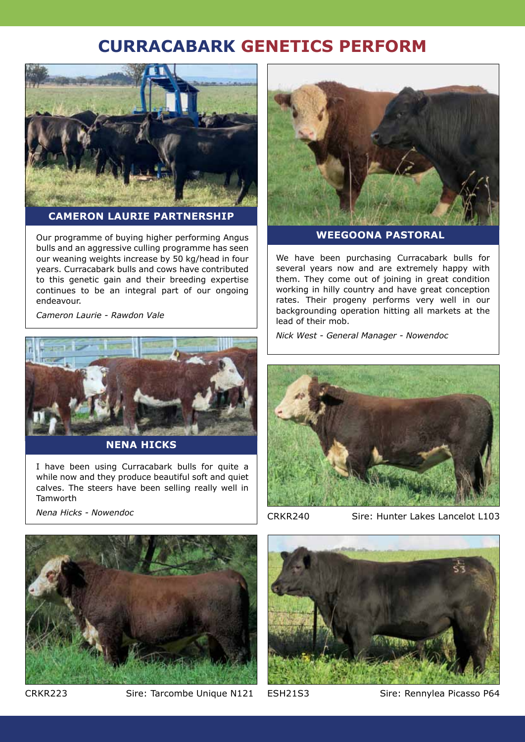### **CURRACABARK GENETICS PERFORM**



**Cameron Laurie Partnership**

Our programme of buying higher performing Angus bulls and an aggressive culling programme has seen our weaning weights increase by 50 kg/head in four years. Curracabark bulls and cows have contributed to this genetic gain and their breeding expertise continues to be an integral part of our ongoing endeavour.

*Cameron Laurie - Rawdon Vale*



**NenA Hicks**

I have been using Curracabark bulls for quite a while now and they produce beautiful soft and quiet calves. The steers have been selling really well in Tamworth

*Nena Hicks - Nowendoc*



**Weegoona Pastoral**

We have been purchasing Curracabark bulls for several years now and are extremely happy with them. They come out of joining in great condition working in hilly country and have great conception rates. Their progeny performs very well in our backgrounding operation hitting all markets at the lead of their mob.

*Nick West - General Manager - Nowendoc*



CRKR240

Sire: Hunter Lakes Lancelot L103



CRKR223 Sire: Tarcombe Unique N121 ESH21S3 Sire: Rennylea Picasso P64